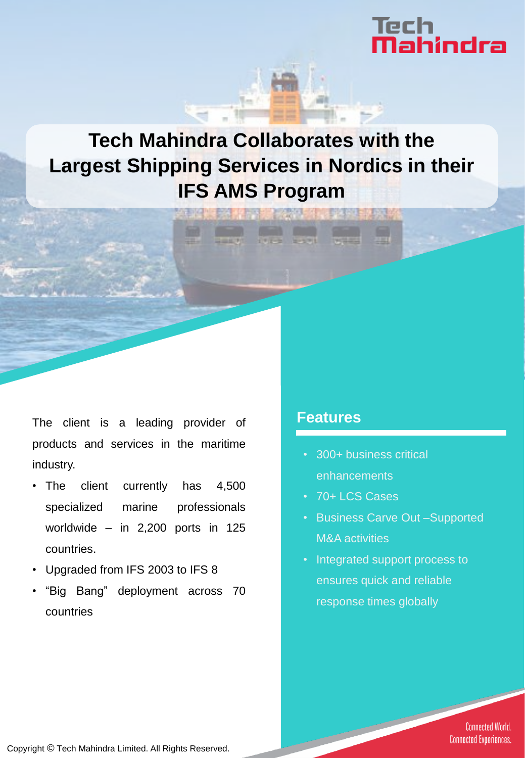# Tech<br>**Mahindra**

## **Tech Mahindra Collaborates with the Largest Shipping Services in Nordics in their IFS AMS Program**

The client is a leading provider of products and services in the maritime industry.

- The client currently has 4,500 specialized marine professionals worldwide – in 2,200 ports in 125 countries.
- Upgraded from IFS 2003 to IFS 8
- "Big Bang" deployment across 70 countries

#### **Features**

- 300+ business critical enhancements
- 70+ LCS Cases
- Business Carve Out –Supported M&A activities
- Integrated support process to ensures quick and reliable response times globally

**Connected World. Connected Experiences.** 

Copyright © Tech Mahindra Limited. All Rights Reserved.